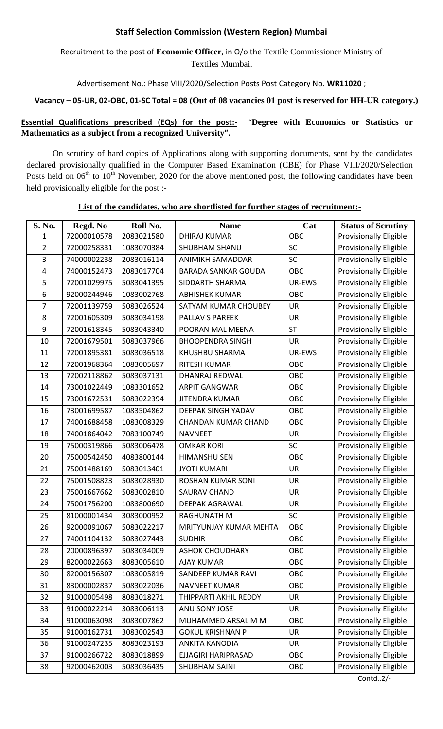## **Staff Selection Commission (Western Region) Mumbai**

# Recruitment to the post of **Economic Officer**, in O/o the Textile Commissioner Ministry of Textiles Mumbai.

Advertisement No.: Phase VIII/2020/Selection Posts Post Category No. **WR11020** ;

#### **Vacancy – 05-UR, 02-OBC, 01-SC Total = 08 (Out of 08 vacancies 01 post is reserved for HH-UR category.)**

### **Essential Qualifications prescribed (EQs) for the post:-** "Degree with Economics or Statistics or **Mathematics as a subject from a recognized University".**

On scrutiny of hard copies of Applications along with supporting documents, sent by the candidates declared provisionally qualified in the Computer Based Examination (CBE) for Phase VIII/2020/Selection Posts held on  $06<sup>th</sup>$  to  $10<sup>th</sup>$  November, 2020 for the above mentioned post, the following candidates have been held provisionally eligible for the post :-

# **List of the candidates, who are shortlisted for further stages of recruitment:-**

| S. No.                  | Regd. No    | Roll No.   | <b>Name</b>                | Cat        | <b>Status of Scrutiny</b>     |
|-------------------------|-------------|------------|----------------------------|------------|-------------------------------|
| 1                       | 72000010578 | 2083021580 | <b>DHIRAJ KUMAR</b>        | OBC        | Provisionally Eligible        |
| $\overline{2}$          | 72000258331 | 1083070384 | SHUBHAM SHANU              | SC         | <b>Provisionally Eligible</b> |
| 3                       | 74000002238 | 2083016114 | ANIMIKH SAMADDAR           | SC         | Provisionally Eligible        |
| $\overline{\mathbf{4}}$ | 74000152473 | 2083017704 | <b>BARADA SANKAR GOUDA</b> | OBC        | <b>Provisionally Eligible</b> |
| 5                       | 72001029975 | 5083041395 | SIDDARTH SHARMA            | UR-EWS     | <b>Provisionally Eligible</b> |
| 6                       | 92000244946 | 1083002768 | <b>ABHISHEK KUMAR</b>      | OBC        | <b>Provisionally Eligible</b> |
| $\overline{7}$          | 72001139759 | 5083026524 | SATYAM KUMAR CHOUBEY       | UR         | <b>Provisionally Eligible</b> |
| 8                       | 72001605309 | 5083034198 | <b>PALLAV S PAREEK</b>     | UR         | <b>Provisionally Eligible</b> |
| 9                       | 72001618345 | 5083043340 | POORAN MAL MEENA           | <b>ST</b>  | <b>Provisionally Eligible</b> |
| 10                      | 72001679501 | 5083037966 | <b>BHOOPENDRA SINGH</b>    | <b>UR</b>  | <b>Provisionally Eligible</b> |
| 11                      | 72001895381 | 5083036518 | KHUSHBU SHARMA             | UR-EWS     | <b>Provisionally Eligible</b> |
| 12                      | 72001968364 | 1083005697 | <b>RITESH KUMAR</b>        | OBC        | <b>Provisionally Eligible</b> |
| 13                      | 72002118862 | 5083037131 | <b>DHANRAJ REDWAL</b>      | OBC        | <b>Provisionally Eligible</b> |
| 14                      | 73001022449 | 1083301652 | <b>ARPIT GANGWAR</b>       | OBC        | <b>Provisionally Eligible</b> |
| 15                      | 73001672531 | 5083022394 | <b>JITENDRA KUMAR</b>      | OBC        | <b>Provisionally Eligible</b> |
| 16                      | 73001699587 | 1083504862 | DEEPAK SINGH YADAV         | <b>OBC</b> | <b>Provisionally Eligible</b> |
| 17                      | 74001688458 | 1083008329 | <b>CHANDAN KUMAR CHAND</b> | <b>OBC</b> | <b>Provisionally Eligible</b> |
| 18                      | 74001864042 | 7083100749 | <b>NAVNEET</b>             | UR         | <b>Provisionally Eligible</b> |
| 19                      | 75000319866 | 5083006478 | <b>OMKAR KORI</b>          | SC         | <b>Provisionally Eligible</b> |
| 20                      | 75000542450 | 4083800144 | <b>HIMANSHU SEN</b>        | OBC        | <b>Provisionally Eligible</b> |
| 21                      | 75001488169 | 5083013401 | <b>JYOTI KUMARI</b>        | UR         | <b>Provisionally Eligible</b> |
| 22                      | 75001508823 | 5083028930 | <b>ROSHAN KUMAR SONI</b>   | UR         | <b>Provisionally Eligible</b> |
| 23                      | 75001667662 | 5083002810 | <b>SAURAV CHAND</b>        | UR         | <b>Provisionally Eligible</b> |
| 24                      | 75001756200 | 1083800690 | <b>DEEPAK AGRAWAL</b>      | <b>UR</b>  | <b>Provisionally Eligible</b> |
| 25                      | 81000001434 | 3083000952 | <b>RAGHUNATH M</b>         | SC         | <b>Provisionally Eligible</b> |
| 26                      | 92000091067 | 5083022217 | MRITYUNJAY KUMAR MEHTA     | OBC        | <b>Provisionally Eligible</b> |
| 27                      | 74001104132 | 5083027443 | <b>SUDHIR</b>              | OBC        | <b>Provisionally Eligible</b> |
| 28                      | 20000896397 | 5083034009 | <b>ASHOK CHOUDHARY</b>     | OBC        | <b>Provisionally Eligible</b> |
| 29                      | 82000022663 | 8083005610 | <b>AJAY KUMAR</b>          | OBC        | <b>Provisionally Eligible</b> |
| 30                      | 82000156307 | 1083005819 | SANDEEP KUMAR RAVI         | OBC        | <b>Provisionally Eligible</b> |
| 31                      | 83000002837 | 5083022036 | <b>NAVNEET KUMAR</b>       | OBC        | <b>Provisionally Eligible</b> |
| 32                      | 91000005498 | 8083018271 | THIPPARTI AKHIL REDDY      | UR         | <b>Provisionally Eligible</b> |
| 33                      | 91000022214 | 3083006113 | ANU SONY JOSE              | UR         | <b>Provisionally Eligible</b> |
| 34                      | 91000063098 | 3083007862 | MUHAMMED ARSAL M M         | OBC        | Provisionally Eligible        |
| 35                      | 91000162731 | 3083002543 | <b>GOKUL KRISHNAN P</b>    | <b>UR</b>  | <b>Provisionally Eligible</b> |
| 36                      | 91000247235 | 8083023193 | <b>ANKITA KANODIA</b>      | UR         | <b>Provisionally Eligible</b> |
| 37                      | 91000266722 | 8083018899 | EJJAGIRI HARIPRASAD        | OBC        | <b>Provisionally Eligible</b> |
| 38                      | 92000462003 | 5083036435 | <b>SHUBHAM SAINI</b>       | OBC        | <b>Provisionally Eligible</b> |
|                         |             |            |                            |            | Contd $2/-$                   |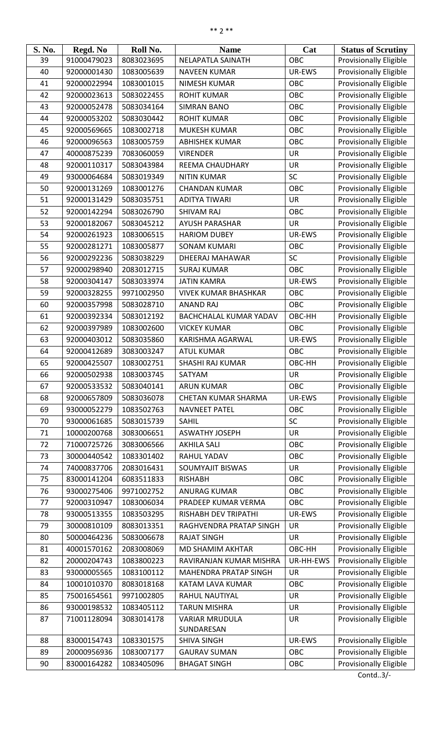| S. No. | Regd. No    | Roll No.   | <b>Name</b>                   | Cat        | <b>Status of Scrutiny</b>     |
|--------|-------------|------------|-------------------------------|------------|-------------------------------|
| 39     | 91000479023 | 8083023695 | <b>NELAPATLA SAINATH</b>      | OBC        | Provisionally Eligible        |
| 40     | 92000001430 | 1083005639 | <b>NAVEEN KUMAR</b>           | UR-EWS     | <b>Provisionally Eligible</b> |
| 41     | 92000022994 | 1083001015 | <b>NIMESH KUMAR</b>           | OBC        | <b>Provisionally Eligible</b> |
| 42     | 92000023613 | 5083022455 | <b>ROHIT KUMAR</b>            | <b>OBC</b> | <b>Provisionally Eligible</b> |
| 43     | 92000052478 | 5083034164 | <b>SIMRAN BANO</b>            | OBC        | <b>Provisionally Eligible</b> |
| 44     | 92000053202 | 5083030442 | <b>ROHIT KUMAR</b>            | OBC        | <b>Provisionally Eligible</b> |
| 45     | 92000569665 | 1083002718 | <b>MUKESH KUMAR</b>           | <b>OBC</b> | <b>Provisionally Eligible</b> |
| 46     | 92000096563 | 1083005759 | <b>ABHISHEK KUMAR</b>         | OBC        | <b>Provisionally Eligible</b> |
| 47     | 40000875239 | 7083060059 | <b>VIRENDER</b>               | <b>UR</b>  | <b>Provisionally Eligible</b> |
| 48     | 92000110317 | 5083043984 | <b>REEMA CHAUDHARY</b>        | <b>UR</b>  | <b>Provisionally Eligible</b> |
| 49     | 93000064684 | 5083019349 | <b>NITIN KUMAR</b>            | SC         | <b>Provisionally Eligible</b> |
| 50     | 92000131269 | 1083001276 | <b>CHANDAN KUMAR</b>          | OBC        | <b>Provisionally Eligible</b> |
| 51     | 92000131429 | 5083035751 | <b>ADITYA TIWARI</b>          | <b>UR</b>  | <b>Provisionally Eligible</b> |
| 52     | 92000142294 | 5083026790 | <b>SHIVAM RAJ</b>             | OBC        | <b>Provisionally Eligible</b> |
| 53     | 92000182067 | 5083045212 | <b>AYUSH PARASHAR</b>         | <b>UR</b>  | <b>Provisionally Eligible</b> |
| 54     | 92000261923 | 1083006515 | <b>HARIOM DUBEY</b>           | UR-EWS     | <b>Provisionally Eligible</b> |
| 55     | 92000281271 | 1083005877 | <b>SONAM KUMARI</b>           | OBC        | Provisionally Eligible        |
| 56     | 92000292236 | 5083038229 | DHEERAJ MAHAWAR               | SC         | <b>Provisionally Eligible</b> |
| 57     | 92000298940 | 2083012715 | <b>SURAJ KUMAR</b>            | OBC        | <b>Provisionally Eligible</b> |
| 58     | 92000304147 | 5083033974 | <b>JATIN KAMRA</b>            | UR-EWS     | Provisionally Eligible        |
| 59     | 92000328255 | 9971002950 | <b>VIVEK KUMAR BHASHKAR</b>   | OBC        | <b>Provisionally Eligible</b> |
| 60     | 92000357998 | 5083028710 | <b>ANAND RAJ</b>              | OBC        | <b>Provisionally Eligible</b> |
| 61     | 92000392334 | 5083012192 | <b>BACHCHALAL KUMAR YADAV</b> | OBC-HH     | Provisionally Eligible        |
| 62     | 92000397989 | 1083002600 | <b>VICKEY KUMAR</b>           | OBC        | <b>Provisionally Eligible</b> |
| 63     | 92000403012 | 5083035860 | KARISHMA AGARWAL              | UR-EWS     | Provisionally Eligible        |
| 64     | 92000412689 | 3083003247 | <b>ATUL KUMAR</b>             | OBC        | Provisionally Eligible        |
| 65     | 92000425507 | 1083002751 | SHASHI RAJ KUMAR              | OBC-HH     | <b>Provisionally Eligible</b> |
| 66     | 92000502938 | 1083003745 | SATYAM                        | <b>UR</b>  | <b>Provisionally Eligible</b> |
| 67     | 92000533532 | 5083040141 | <b>ARUN KUMAR</b>             | OBC        | <b>Provisionally Eligible</b> |
| 68     | 92000657809 | 5083036078 | <b>CHETAN KUMAR SHARMA</b>    | UR-EWS     | <b>Provisionally Eligible</b> |
| 69     | 93000052279 | 1083502763 | <b>NAVNEET PATEL</b>          | OBC        | <b>Provisionally Eligible</b> |
| 70     | 93000061685 | 5083015739 | <b>SAHIL</b>                  | SC         | <b>Provisionally Eligible</b> |
| 71     | 10000200768 | 3083006651 | <b>ASWATHY JOSEPH</b>         | <b>UR</b>  | Provisionally Eligible        |
| 72     | 71000725726 | 3083006566 | <b>AKHILA SALI</b>            | <b>OBC</b> | <b>Provisionally Eligible</b> |
| 73     | 30000440542 | 1083301402 | RAHUL YADAV                   | OBC        | Provisionally Eligible        |
| 74     | 74000837706 | 2083016431 | <b>SOUMYAJIT BISWAS</b>       | <b>UR</b>  | Provisionally Eligible        |
| 75     | 83000141204 | 6083511833 | <b>RISHABH</b>                | OBC        | <b>Provisionally Eligible</b> |
| 76     | 93000275406 | 9971002752 | <b>ANURAG KUMAR</b>           | OBC        | <b>Provisionally Eligible</b> |
| 77     | 92000310947 | 1083006034 | PRADEEP KUMAR VERMA           | OBC        | <b>Provisionally Eligible</b> |
| 78     | 93000513355 | 1083503295 | RISHABH DEV TRIPATHI          | UR-EWS     | <b>Provisionally Eligible</b> |
| 79     | 30000810109 | 8083013351 | RAGHVENDRA PRATAP SINGH       | <b>UR</b>  | <b>Provisionally Eligible</b> |
| 80     | 50000464236 | 5083006678 | <b>RAJAT SINGH</b>            | <b>UR</b>  | Provisionally Eligible        |
| 81     | 40001570162 | 2083008069 | MD SHAMIM AKHTAR              | OBC-HH     | Provisionally Eligible        |
| 82     | 20000204743 | 1083800223 | RAVIRANJAN KUMAR MISHRA       | UR-HH-EWS  | <b>Provisionally Eligible</b> |
| 83     | 93000005565 | 1083100112 | MAHENDRA PRATAP SINGH         | <b>UR</b>  | Provisionally Eligible        |
| 84     | 10001010370 | 8083018168 | KATAM LAVA KUMAR              | OBC        | <b>Provisionally Eligible</b> |
| 85     | 75001654561 | 9971002805 | RAHUL NAUTIYAL                | <b>UR</b>  | <b>Provisionally Eligible</b> |
| 86     | 93000198532 | 1083405112 | <b>TARUN MISHRA</b>           | <b>UR</b>  | Provisionally Eligible        |
| 87     | 71001128094 | 3083014178 | <b>VARIAR MRUDULA</b>         | <b>UR</b>  | <b>Provisionally Eligible</b> |
|        |             |            | SUNDARESAN                    |            |                               |
| 88     | 83000154743 | 1083301575 | <b>SHIVA SINGH</b>            | UR-EWS     | <b>Provisionally Eligible</b> |
| 89     | 20000956936 | 1083007177 | <b>GAURAV SUMAN</b>           | OBC        | Provisionally Eligible        |
| 90     | 83000164282 | 1083405096 | <b>BHAGAT SINGH</b>           | OBC        | Provisionally Eligible        |
|        |             |            |                               |            |                               |

Contd..3/-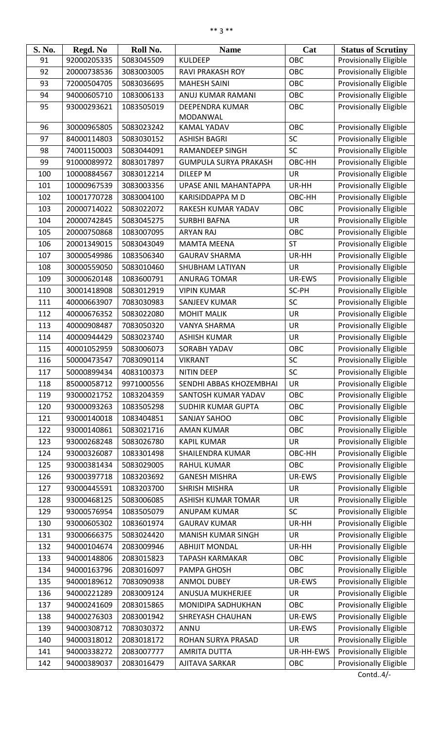| S. No.     | Regd. No                   | Roll No.                 | <b>Name</b>                                | Cat                 | <b>Status of Scrutiny</b>                                      |
|------------|----------------------------|--------------------------|--------------------------------------------|---------------------|----------------------------------------------------------------|
| 91         | 92000205335                | 5083045509               | <b>KULDEEP</b>                             | OBC                 | <b>Provisionally Eligible</b>                                  |
| 92         | 20000738536                | 3083003005               | RAVI PRAKASH ROY                           | OBC                 | <b>Provisionally Eligible</b>                                  |
| 93         | 72000504705                | 5083036695               | <b>MAHESH SAINI</b>                        | <b>OBC</b>          | <b>Provisionally Eligible</b>                                  |
| 94         | 94000605710                | 1083006133               | ANUJ KUMAR RAMANI                          | OBC                 | <b>Provisionally Eligible</b>                                  |
| 95         | 93000293621                | 1083505019               | DEEPENDRA KUMAR<br>MODANWAL                | OBC                 | <b>Provisionally Eligible</b>                                  |
| 96         | 30000965805                | 5083023242               | <b>KAMAL YADAV</b>                         | OBC                 | <b>Provisionally Eligible</b>                                  |
| 97         | 84000114803                | 5083030152               | <b>ASHISH BAGRI</b>                        | SC                  | Provisionally Eligible                                         |
| 98         | 74001150003                | 5083044091               | <b>RAMANDEEP SINGH</b>                     | <b>SC</b>           | <b>Provisionally Eligible</b>                                  |
| 99         | 91000089972                | 8083017897               | <b>GUMPULA SURYA PRAKASH</b>               | OBC-HH              | <b>Provisionally Eligible</b>                                  |
| 100        | 10000884567                | 3083012214               | DILEEP M                                   | <b>UR</b>           | <b>Provisionally Eligible</b>                                  |
| 101        | 10000967539                | 3083003356               | <b>UPASE ANIL MAHANTAPPA</b>               | UR-HH               | <b>Provisionally Eligible</b>                                  |
| 102        | 10001770728                | 3083004100               | <b>KARISIDDAPPA M D</b>                    | OBC-HH              | <b>Provisionally Eligible</b>                                  |
| 103        | 20000714022                | 5083022072               | RAKESH KUMAR YADAV                         | <b>OBC</b>          | <b>Provisionally Eligible</b>                                  |
| 104        | 20000742845                | 5083045275               | <b>SURBHI BAFNA</b>                        | <b>UR</b>           | <b>Provisionally Eligible</b>                                  |
| 105        | 20000750868                | 1083007095               | <b>ARYAN RAJ</b>                           | OBC                 | <b>Provisionally Eligible</b>                                  |
| 106        | 20001349015                | 5083043049               | <b>MAMTA MEENA</b>                         | <b>ST</b>           | <b>Provisionally Eligible</b>                                  |
| 107        | 30000549986                | 1083506340               | <b>GAURAV SHARMA</b>                       | UR-HH               | <b>Provisionally Eligible</b>                                  |
| 108        | 30000559050                | 5083010460               | SHUBHAM LATIYAN                            | <b>UR</b>           | <b>Provisionally Eligible</b>                                  |
| 109        | 30000620148                | 1083600791               | <b>ANURAG TOMAR</b>                        | UR-EWS              | <b>Provisionally Eligible</b>                                  |
| 110        | 30001418908                | 5083012919               | <b>VIPIN KUMAR</b>                         | SC-PH               | <b>Provisionally Eligible</b>                                  |
| 111        | 40000663907                | 7083030983               | <b>SANJEEV KUMAR</b>                       | <b>SC</b>           | <b>Provisionally Eligible</b>                                  |
| 112        | 40000676352                | 5083022080               | <b>MOHIT MALIK</b>                         | <b>UR</b>           | <b>Provisionally Eligible</b>                                  |
| 113        | 40000908487                | 7083050320               | <b>VANYA SHARMA</b>                        | UR                  | <b>Provisionally Eligible</b>                                  |
| 114        | 40000944429                | 5083023740               | <b>ASHISH KUMAR</b>                        | <b>UR</b>           | <b>Provisionally Eligible</b>                                  |
| 115        | 40001052959                | 5083006073               | <b>SORABH YADAV</b>                        | OBC                 | Provisionally Eligible                                         |
| 116        | 50000473547                | 7083090114               | <b>VIKRANT</b>                             | SC                  | Provisionally Eligible                                         |
|            | 50000899434                | 4083100373               | NITIN DEEP                                 | SC                  | Provisionally Eligible                                         |
| 117<br>118 | 85000058712                | 9971000556               | SENDHI ABBAS KHOZEMBHAI                    | <b>UR</b>           | <b>Provisionally Eligible</b>                                  |
| 119        |                            | 1083204359               | SANTOSH KUMAR YADAV                        | OBC                 | <b>Provisionally Eligible</b>                                  |
| 120        | 93000021752<br>93000093263 | 1083505298               | <b>SUDHIR KUMAR GUPTA</b>                  | OBC                 | Provisionally Eligible                                         |
| 121        | 93000140018                | 1083404851               | <b>SANJAY SAHOO</b>                        | OBC                 |                                                                |
|            |                            | 5083021716               |                                            |                     | <b>Provisionally Eligible</b>                                  |
| 122        | 93000140861                |                          | <b>AMAN KUMAR</b>                          | OBC                 | <b>Provisionally Eligible</b>                                  |
| 123        | 93000268248                | 5083026780               | <b>KAPIL KUMAR</b>                         | <b>UR</b>           | <b>Provisionally Eligible</b>                                  |
| 124        | 93000326087                | 1083301498               | <b>SHAILENDRA KUMAR</b>                    | OBC-HH              | <b>Provisionally Eligible</b>                                  |
| 125        | 93000381434                | 5083029005               | <b>RAHUL KUMAR</b>                         | <b>OBC</b>          | <b>Provisionally Eligible</b>                                  |
| 126        | 93000397718                | 1083203692               | <b>GANESH MISHRA</b>                       | UR-EWS              | <b>Provisionally Eligible</b>                                  |
| 127        | 93000445591                | 1083203700               | <b>SHRISH MISHRA</b>                       | <b>UR</b>           | <b>Provisionally Eligible</b>                                  |
| 128        | 93000468125                | 5083006085               | <b>ASHISH KUMAR TOMAR</b>                  | <b>UR</b>           | <b>Provisionally Eligible</b>                                  |
| 129<br>130 | 93000576954<br>93000605302 | 1083505079<br>1083601974 | <b>ANUPAM KUMAR</b><br><b>GAURAV KUMAR</b> | <b>SC</b><br>UR-HH  | <b>Provisionally Eligible</b><br>Provisionally Eligible        |
| 131        | 93000666375                | 5083024420               | <b>MANISH KUMAR SINGH</b>                  | <b>UR</b>           | <b>Provisionally Eligible</b>                                  |
|            | 94000104674                | 2083009946               | <b>ABHIJIT MONDAL</b>                      |                     |                                                                |
| 132        |                            |                          |                                            | UR-HH               | <b>Provisionally Eligible</b>                                  |
| 133        | 94000148806                | 2083015823               | <b>TAPASH KARMAKAR</b>                     | OBC                 | <b>Provisionally Eligible</b>                                  |
| 134        | 94000163796                | 2083016097               | PAMPA GHOSH                                | OBC                 | <b>Provisionally Eligible</b>                                  |
| 135<br>136 | 94000189612<br>94000221289 | 7083090938<br>2083009124 | <b>ANMOL DUBEY</b><br>ANUSUA MUKHERJEE     | UR-EWS<br><b>UR</b> | Provisionally Eligible<br><b>Provisionally Eligible</b>        |
|            |                            |                          |                                            |                     |                                                                |
| 137<br>138 | 94000241609<br>94000276303 | 2083015865<br>2083001942 | MONIDIPA SADHUKHAN<br>SHREYASH CHAUHAN     | OBC<br>UR-EWS       | <b>Provisionally Eligible</b><br><b>Provisionally Eligible</b> |
| 139        | 94000308712                | 7083030372               | ANNU                                       | UR-EWS              | <b>Provisionally Eligible</b>                                  |
| 140        | 94000318012                | 2083018172               | ROHAN SURYA PRASAD                         | <b>UR</b>           | <b>Provisionally Eligible</b>                                  |
| 141        | 94000338272                | 2083007777               | <b>AMRITA DUTTA</b>                        | UR-HH-EWS           | <b>Provisionally Eligible</b>                                  |
|            |                            |                          |                                            |                     |                                                                |
| 142        | 94000389037                | 2083016479               | AJITAVA SARKAR                             | OBC                 | <b>Provisionally Eligible</b>                                  |

Contd..4/-